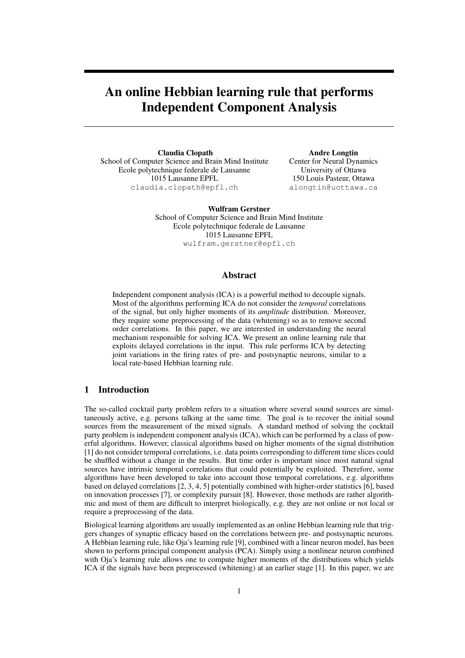# An online Hebbian learning rule that performs Independent Component Analysis

Claudia Clopath School of Computer Science and Brain Mind Institute Ecole polytechnique federale de Lausanne 1015 Lausanne EPFL claudia.clopath@epfl.ch

Andre Longtin Center for Neural Dynamics University of Ottawa 150 Louis Pasteur, Ottawa alongtin@uottawa.ca

Wulfram Gerstner School of Computer Science and Brain Mind Institute Ecole polytechnique federale de Lausanne 1015 Lausanne EPFL wulfram.gerstner@epfl.ch

# Abstract

Independent component analysis (ICA) is a powerful method to decouple signals. Most of the algorithms performing ICA do not consider the *temporal* correlations of the signal, but only higher moments of its *amplitude* distribution. Moreover, they require some preprocessing of the data (whitening) so as to remove second order correlations. In this paper, we are interested in understanding the neural mechanism responsible for solving ICA. We present an online learning rule that exploits delayed correlations in the input. This rule performs ICA by detecting joint variations in the firing rates of pre- and postsynaptic neurons, similar to a local rate-based Hebbian learning rule.

# 1 Introduction

The so-called cocktail party problem refers to a situation where several sound sources are simultaneously active, e.g. persons talking at the same time. The goal is to recover the initial sound sources from the measurement of the mixed signals. A standard method of solving the cocktail party problem is independent component analysis (ICA), which can be performed by a class of powerful algorithms. However, classical algorithms based on higher moments of the signal distribution [1] do not consider temporal correlations, i.e. data points corresponding to different time slices could be shuffled without a change in the results. But time order is important since most natural signal sources have intrinsic temporal correlations that could potentially be exploited. Therefore, some algorithms have been developed to take into account those temporal correlations, e.g. algorithms based on delayed correlations [2, 3, 4, 5] potentially combined with higher-order statistics [6], based on innovation processes [7], or complexity pursuit [8]. However, those methods are rather algorithmic and most of them are difficult to interpret biologically, e.g. they are not online or not local or require a preprocessing of the data.

Biological learning algorithms are usually implemented as an online Hebbian learning rule that triggers changes of synaptic efficacy based on the correlations between pre- and postsynaptic neurons. A Hebbian learning rule, like Oja's learning rule [9], combined with a linear neuron model, has been shown to perform principal component analysis (PCA). Simply using a nonlinear neuron combined with Oja's learning rule allows one to compute higher moments of the distributions which yields ICA if the signals have been preprocessed (whitening) at an earlier stage [1]. In this paper, we are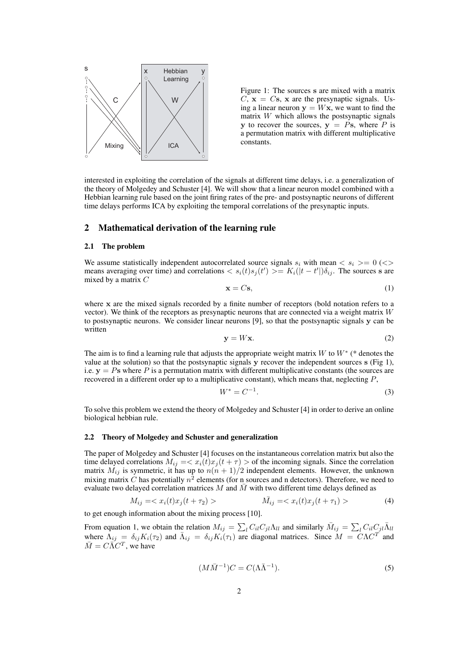

Figure 1: The sources s are mixed with a matrix  $C$ ,  $\mathbf{x} = C\mathbf{s}$ , x are the presynaptic signals. Using a linear neuron  $y = Wx$ , we want to find the matrix  $W$  which allows the postsynaptic signals y to recover the sources,  $y = Ps$ , where P is a permutation matrix with different multiplicative constants.

interested in exploiting the correlation of the signals at different time delays, i.e. a generalization of the theory of Molgedey and Schuster [4]. We will show that a linear neuron model combined with a Hebbian learning rule based on the joint firing rates of the pre- and postsynaptic neurons of different time delays performs ICA by exploiting the temporal correlations of the presynaptic inputs.

## 2 Mathematical derivation of the learning rule

#### 2.1 The problem

We assume statistically independent autocorrelated source signals  $s_i$  with mean  $\langle s_i \rangle = 0 \, (\langle \rangle)$ means averaging over time) and correlations  $\langle s_i(t)s_j(t') \rangle = K_i(|t-t'|) \delta_{ij}$ . The sources s are mixed by a matrix C

$$
\mathbf{x} = C\mathbf{s},\tag{1}
$$

where x are the mixed signals recorded by a finite number of receptors (bold notation refers to a vector). We think of the receptors as presynaptic neurons that are connected via a weight matrix  $W$ to postsynaptic neurons. We consider linear neurons [9], so that the postsynaptic signals y can be written

$$
y = Wx.\t\t(2)
$$

The aim is to find a learning rule that adjusts the appropriate weight matrix W to  $W^*$  (\* denotes the value at the solution) so that the postsynaptic signals y recover the independent sources s (Fig 1), i.e.  $y = Ps$  where P is a permutation matrix with different multiplicative constants (the sources are recovered in a different order up to a multiplicative constant), which means that, neglecting P,

$$
W^* = C^{-1}.\tag{3}
$$

To solve this problem we extend the theory of Molgedey and Schuster [4] in order to derive an online biological hebbian rule.

## 2.2 Theory of Molgedey and Schuster and generalization

The paper of Molgedey and Schuster [4] focuses on the instantaneous correlation matrix but also the time delayed correlations  $M_{ij} = \langle x_i(t)x_j(t + \tau) \rangle$  of the incoming signals. Since the correlation matrix  $\tilde{M}_{ij}$  is symmetric, it has up to  $n(n + 1)/2$  independent elements. However, the unknown mixing matrix C has potentially  $n^2$  elements (for n sources and n detectors). Therefore, we need to evaluate two delayed correlation matrices  $M$  and  $M$  with two different time delays defined as

$$
M_{ij} = \langle x_i(t)x_j(t + \tau_2) \rangle
$$
 (4)

to get enough information about the mixing process [10].

From equation 1, we obtain the relation  $M_{ij} = \sum_l C_{il} C_{jl} \Lambda_{ll}$  and similarly  $\bar{M}_{ij} = \sum_l C_{il} C_{jl} \bar{\Lambda}_{ll}$ where  $\Lambda_{ij} = \delta_{ij} K_i(\tau_2)$  and  $\bar{\Lambda}_{ij} = \delta_{ij} K_i(\tau_1)$  are diagonal matrices. Since  $M = C\Lambda C^T$  and  $\overline{M} = C \overline{\Lambda} C^{T}$ , we have

$$
(M\overline{M}^{-1})C = C(\Lambda\overline{\Lambda}^{-1}).
$$
\n<sup>(5)</sup>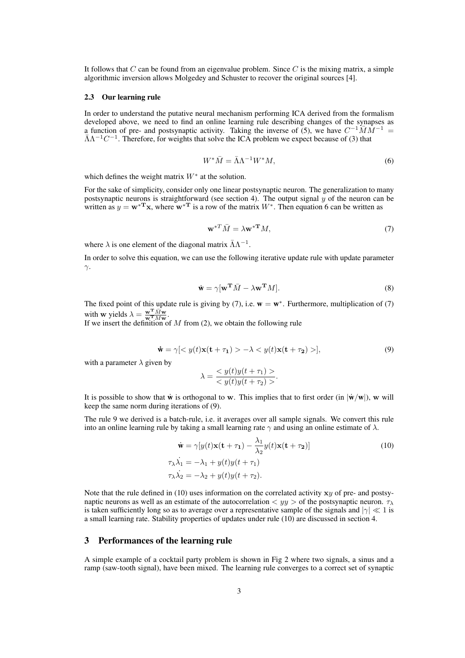It follows that  $C$  can be found from an eigenvalue problem. Since  $C$  is the mixing matrix, a simple algorithmic inversion allows Molgedey and Schuster to recover the original sources [4].

#### 2.3 Our learning rule

In order to understand the putative neural mechanism performing ICA derived from the formalism developed above, we need to find an online learning rule describing changes of the synapses as a function of pre- and postsynaptic activity. Taking the inverse of (5), we have  $C^{-1} \overline{M} M^{-1} =$  $\bar{\Lambda}\Lambda^{-1}C^{-1}$ . Therefore, for weights that solve the ICA problem we expect because of (3) that

$$
W^* \bar{M} = \bar{\Lambda} \Lambda^{-1} W^* M,\tag{6}
$$

which defines the weight matrix  $W^*$  at the solution.

For the sake of simplicity, consider only one linear postsynaptic neuron. The generalization to many postsynaptic neurons is straightforward (see section 4). The output signal  $y$  of the neuron can be written as  $y = w^*$ <sup>T</sup> x, where  $w^*$ <sup>T</sup> is a row of the matrix  $W^*$ . Then equation 6 can be written as

$$
\mathbf{w}^{*T}\bar{M} = \lambda \mathbf{w}^{*T}M,\tag{7}
$$

where  $\lambda$  is one element of the diagonal matrix  $\bar{\Lambda} \Lambda^{-1}$ .

In order to solve this equation, we can use the following iterative update rule with update parameter  $γ$ .

$$
\dot{\mathbf{w}} = \gamma [\mathbf{w}^{\mathbf{T}} \bar{M} - \lambda \mathbf{w}^{\mathbf{T}} M]. \tag{8}
$$

The fixed point of this update rule is giving by (7), i.e.  $w = w^*$ . Furthermore, multiplication of (7) with **w** yields  $\lambda = \frac{\mathbf{w}^{\mathbf{T}} \bar{M} \mathbf{w}}{\mathbf{w}^{\mathbf{T}} M \mathbf{w}}$ .

If we insert the definition of  $M$  from (2), we obtain the following rule

$$
\dot{\mathbf{w}} = \gamma \left[ \langle y(t) \mathbf{x}(t + \tau_1) \rangle - \lambda \langle y(t) \mathbf{x}(t + \tau_2) \rangle \right],\tag{9}
$$

with a parameter  $\lambda$  given by

$$
\lambda = \frac{y(t)y(t+\tau_1) >}{< y(t)y(t+\tau_2) >}.
$$

It is possible to show that  $\dot{\mathbf{w}}$  is orthogonal to w. This implies that to first order (in  $|\dot{\mathbf{w}}/\mathbf{w}|$ ), w will keep the same norm during iterations of (9).

The rule 9 we derived is a batch-rule, i.e. it averages over all sample signals. We convert this rule into an online learning rule by taking a small learning rate  $\gamma$  and using an online estimate of  $\lambda$ .

$$
\dot{\mathbf{w}} = \gamma[y(t)\mathbf{x(t + \tau_1)} - \frac{\lambda_1}{\lambda_2}y(t)\mathbf{x(t + \tau_2)}]
$$
\n
$$
\tau_{\lambda}\dot{\lambda_1} = -\lambda_1 + y(t)y(t + \tau_1)
$$
\n
$$
\tau_{\lambda}\dot{\lambda_2} = -\lambda_2 + y(t)y(t + \tau_2).
$$
\n(10)

Note that the rule defined in (10) uses information on the correlated activity  $xy$  of pre- and postsynaptic neurons as well as an estimate of the autocorrelation  $\langle y \rangle$  of the postsynaptic neuron.  $\tau_{\lambda}$ is taken sufficiently long so as to average over a representative sample of the signals and  $|\gamma| \ll 1$  is a small learning rate. Stability properties of updates under rule (10) are discussed in section 4.

# 3 Performances of the learning rule

A simple example of a cocktail party problem is shown in Fig 2 where two signals, a sinus and a ramp (saw-tooth signal), have been mixed. The learning rule converges to a correct set of synaptic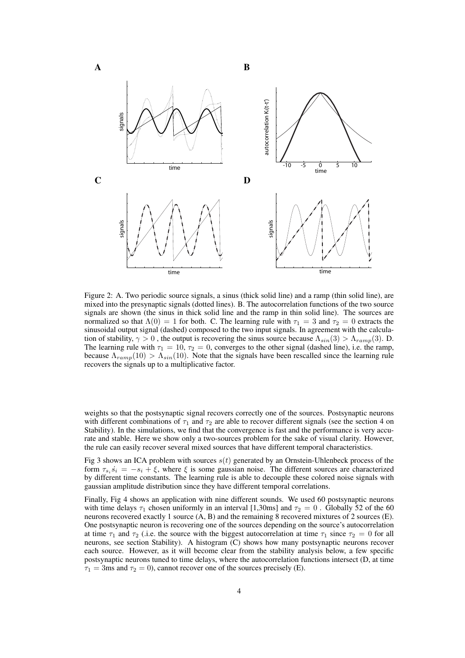

Figure 2: A. Two periodic source signals, a sinus (thick solid line) and a ramp (thin solid line), are mixed into the presynaptic signals (dotted lines). B. The autocorrelation functions of the two source signals are shown (the sinus in thick solid line and the ramp in thin solid line). The sources are normalized so that  $\Lambda(0) = 1$  for both. C. The learning rule with  $\tau_1 = 3$  and  $\tau_2 = 0$  extracts the sinusoidal output signal (dashed) composed to the two input signals. In agreement with the calculation of stability,  $\gamma > 0$ , the output is recovering the sinus source because  $\Lambda_{sin}(3) > \Lambda_{ramp}(3)$ . D. The learning rule with  $\tau_1 = 10$ ,  $\tau_2 = 0$ , converges to the other signal (dashed line), i.e. the ramp, because  $\Lambda_{ramp}(10) > \Lambda_{sin}(10)$ . Note that the signals have been rescalled since the learning rule recovers the signals up to a multiplicative factor.

weights so that the postsynaptic signal recovers correctly one of the sources. Postsynaptic neurons with different combinations of  $\tau_1$  and  $\tau_2$  are able to recover different signals (see the section 4 on Stability). In the simulations, we find that the convergence is fast and the performance is very accurate and stable. Here we show only a two-sources problem for the sake of visual clarity. However, the rule can easily recover several mixed sources that have different temporal characteristics.

Fig 3 shows an ICA problem with sources  $s(t)$  generated by an Ornstein-Uhlenbeck process of the form  $\tau_{s_i} \dot{s_i} = -s_i + \xi$ , where  $\xi$  is some gaussian noise. The different sources are characterized by different time constants. The learning rule is able to decouple these colored noise signals with gaussian amplitude distribution since they have different temporal correlations.

Finally, Fig 4 shows an application with nine different sounds. We used 60 postsynaptic neurons with time delays  $\tau_1$  chosen uniformly in an interval [1,30ms] and  $\tau_2 = 0$ . Globally 52 of the 60 neurons recovered exactly 1 source (A, B) and the remaining 8 recovered mixtures of 2 sources (E). One postsynaptic neuron is recovering one of the sources depending on the source's autocorrelation at time  $\tau_1$  and  $\tau_2$  (i.e. the source with the biggest autocorrelation at time  $\tau_1$  since  $\tau_2 = 0$  for all neurons, see section Stability). A histogram (C) shows how many postsynaptic neurons recover each source. However, as it will become clear from the stability analysis below, a few specific postsynaptic neurons tuned to time delays, where the autocorrelation functions intersect (D, at time  $\tau_1 = 3$ ms and  $\tau_2 = 0$ ), cannot recover one of the sources precisely (E).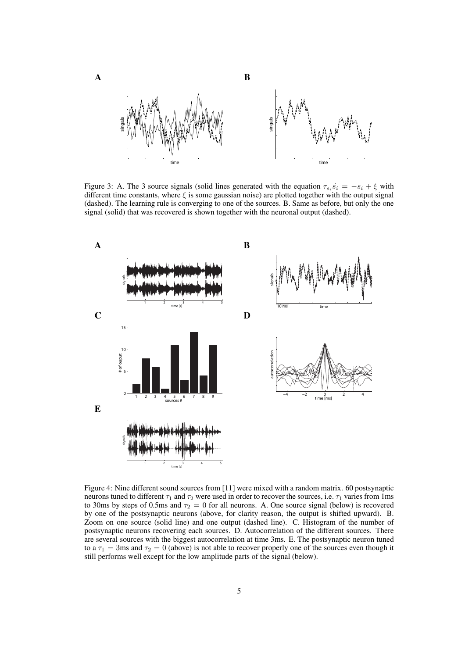

Figure 3: A. The 3 source signals (solid lines generated with the equation  $\tau_{s_i} s_i = -s_i + \xi$  with different time constants, where  $\xi$  is some gaussian noise) are plotted together with the output signal (dashed). The learning rule is converging to one of the sources. B. Same as before, but only the one signal (solid) that was recovered is shown together with the neuronal output (dashed).



Figure 4: Nine different sound sources from [11] were mixed with a random matrix. 60 postsynaptic neurons tuned to different  $\tau_1$  and  $\tau_2$  were used in order to recover the sources, i.e.  $\tau_1$  varies from 1ms to 30ms by steps of 0.5ms and  $\tau_2 = 0$  for all neurons. A. One source signal (below) is recovered by one of the postsynaptic neurons (above, for clarity reason, the output is shifted upward). B. Zoom on one source (solid line) and one output (dashed line). C. Histogram of the number of postsynaptic neurons recovering each sources. D. Autocorrelation of the different sources. There are several sources with the biggest autocorrelation at time 3ms. E. The postsynaptic neuron tuned to a  $\tau_1 = 3$ ms and  $\tau_2 = 0$  (above) is not able to recover properly one of the sources even though it still performs well except for the low amplitude parts of the signal (below).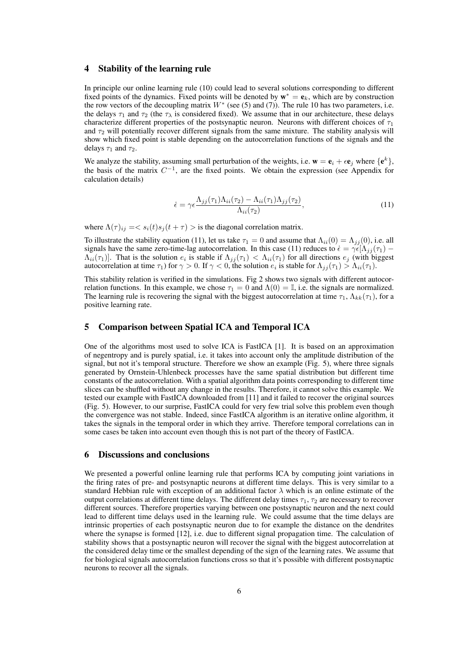#### 4 Stability of the learning rule

In principle our online learning rule (10) could lead to several solutions corresponding to different fixed points of the dynamics. Fixed points will be denoted by  $\mathbf{w}^* = \mathbf{e}_k$ , which are by construction the row vectors of the decoupling matrix  $W^*$  (see (5) and (7)). The rule 10 has two parameters, i.e. the delays  $\tau_1$  and  $\tau_2$  (the  $\tau_\lambda$  is considered fixed). We assume that in our architecture, these delays characterize different properties of the postsynaptic neuron. Neurons with different choices of  $\tau_1$ and  $\tau_2$  will potentially recover different signals from the same mixture. The stability analysis will show which fixed point is stable depending on the autocorrelation functions of the signals and the delays  $\tau_1$  and  $\tau_2$ .

We analyze the stability, assuming small perturbation of the weights, i.e.  $\mathbf{w} = \mathbf{e}_i + \epsilon \mathbf{e}_j$  where  $\{\mathbf{e}^k\}$ , the basis of the matrix  $C^{-1}$ , are the fixed points. We obtain the expression (see Appendix for calculation details)

$$
\dot{\epsilon} = \gamma \epsilon \frac{\Lambda_{jj}(\tau_1) \Lambda_{ii}(\tau_2) - \Lambda_{ii}(\tau_1) \Lambda_{jj}(\tau_2)}{\Lambda_{ii}(\tau_2)},\tag{11}
$$

where  $\Lambda(\tau)_{ij} = \langle s_i(t) s_j(t + \tau) \rangle$  is the diagonal correlation matrix.

To illustrate the stability equation (11), let us take  $\tau_1 = 0$  and assume that  $\Lambda_{ii}(0) = \Lambda_{jj}(0)$ , i.e. all signals have the same zero-time-lag autocorrelation. In this case (11) reduces to  $\dot{\epsilon} = \gamma \epsilon [\Lambda_{ij}(\tau_1) - \Lambda_{ij}(\tau_2)]$  $\Lambda_{ii}(\tau_1)$ . That is the solution  $e_i$  is stable if  $\Lambda_{jj}(\tau_1) < \Lambda_{ii}(\tau_1)$  for all directions  $e_j$  (with biggest autocorrelation at time  $\tau_1$ ) for  $\gamma > 0$ . If  $\gamma < 0$ , the solution  $e_i$  is stable for  $\Lambda_{jj}(\tau_1) > \Lambda_{ii}(\tau_1)$ .

This stability relation is verified in the simulations. Fig 2 shows two signals with different autocorrelation functions. In this example, we chose  $\tau_1 = 0$  and  $\Lambda(0) = \mathbb{I}$ , i.e. the signals are normalized. The learning rule is recovering the signal with the biggest autocorrelation at time  $\tau_1$ ,  $\Lambda_{kk}(\tau_1)$ , for a positive learning rate.

# 5 Comparison between Spatial ICA and Temporal ICA

One of the algorithms most used to solve ICA is FastICA [1]. It is based on an approximation of negentropy and is purely spatial, i.e. it takes into account only the amplitude distribution of the signal, but not it's temporal structure. Therefore we show an example (Fig. 5), where three signals generated by Ornstein-Uhlenbeck processes have the same spatial distribution but different time constants of the autocorrelation. With a spatial algorithm data points corresponding to different time slices can be shuffled without any change in the results. Therefore, it cannot solve this example. We tested our example with FastICA downloaded from [11] and it failed to recover the original sources (Fig. 5). However, to our surprise, FastICA could for very few trial solve this problem even though the convergence was not stable. Indeed, since FastICA algorithm is an iterative online algorithm, it takes the signals in the temporal order in which they arrive. Therefore temporal correlations can in some cases be taken into account even though this is not part of the theory of FastICA.

## 6 Discussions and conclusions

We presented a powerful online learning rule that performs ICA by computing joint variations in the firing rates of pre- and postsynaptic neurons at different time delays. This is very similar to a standard Hebbian rule with exception of an additional factor  $\lambda$  which is an online estimate of the output correlations at different time delays. The different delay times  $\tau_1$ ,  $\tau_2$  are necessary to recover different sources. Therefore properties varying between one postsynaptic neuron and the next could lead to different time delays used in the learning rule. We could assume that the time delays are intrinsic properties of each postsynaptic neuron due to for example the distance on the dendrites where the synapse is formed [12], i.e. due to different signal propagation time. The calculation of stability shows that a postsynaptic neuron will recover the signal with the biggest autocorrelation at the considered delay time or the smallest depending of the sign of the learning rates. We assume that for biological signals autocorrelation functions cross so that it's possible with different postsynaptic neurons to recover all the signals.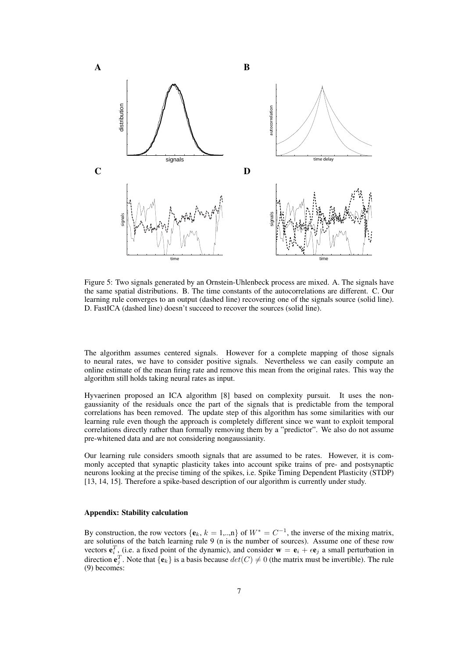

Figure 5: Two signals generated by an Ornstein-Uhlenbeck process are mixed. A. The signals have the same spatial distributions. B. The time constants of the autocorrelations are different. C. Our learning rule converges to an output (dashed line) recovering one of the signals source (solid line). D. FastICA (dashed line) doesn't succeed to recover the sources (solid line).

The algorithm assumes centered signals. However for a complete mapping of those signals to neural rates, we have to consider positive signals. Nevertheless we can easily compute an online estimate of the mean firing rate and remove this mean from the original rates. This way the algorithm still holds taking neural rates as input.

Hyvaerinen proposed an ICA algorithm [8] based on complexity pursuit. It uses the nongaussianity of the residuals once the part of the signals that is predictable from the temporal correlations has been removed. The update step of this algorithm has some similarities with our learning rule even though the approach is completely different since we want to exploit temporal correlations directly rather than formally removing them by a "predictor". We also do not assume pre-whitened data and are not considering nongaussianity.

Our learning rule considers smooth signals that are assumed to be rates. However, it is commonly accepted that synaptic plasticity takes into account spike trains of pre- and postsynaptic neurons looking at the precise timing of the spikes, i.e. Spike Timing Dependent Plasticity (STDP) [13, 14, 15]. Therefore a spike-based description of our algorithm is currently under study.

#### Appendix: Stability calculation

By construction, the row vectors  $\{e_k, k = 1, \ldots, n\}$  of  $W^* = C^{-1}$ , the inverse of the mixing matrix, are solutions of the batch learning rule 9 (n is the number of sources). Assume one of these row vectors  $\mathbf{e}_i^T$ , (i.e. a fixed point of the dynamic), and consider  $\mathbf{w} = \mathbf{e}_i + \epsilon \mathbf{e}_j$  a small perturbation in direction  $\mathbf{e}_j^T$ . Note that  $\{\mathbf{e}_k\}$  is a basis because  $det(C) \neq 0$  (the matrix must be invertible). The rule (9) becomes: